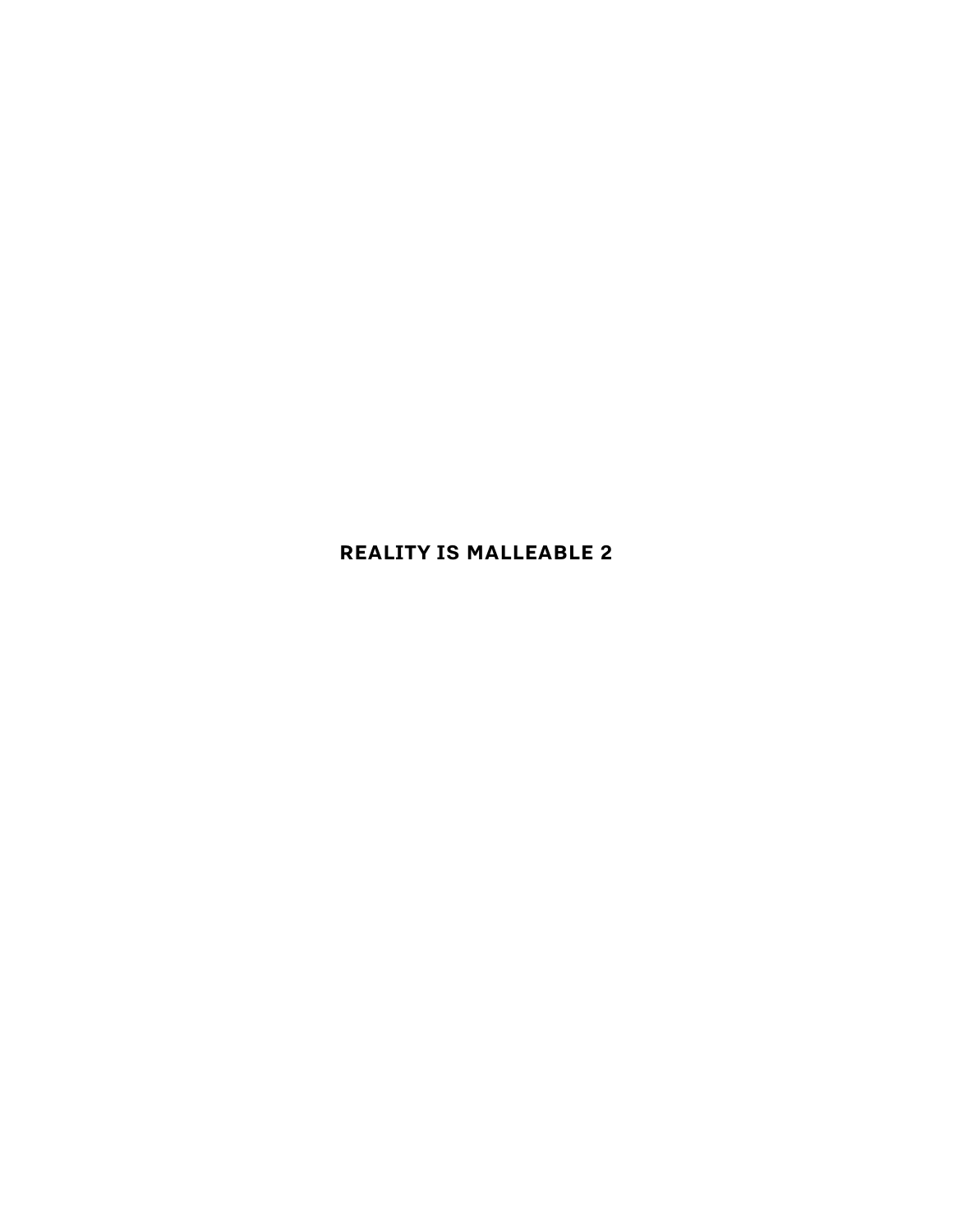# **REALITY IS MALLEABLE 2**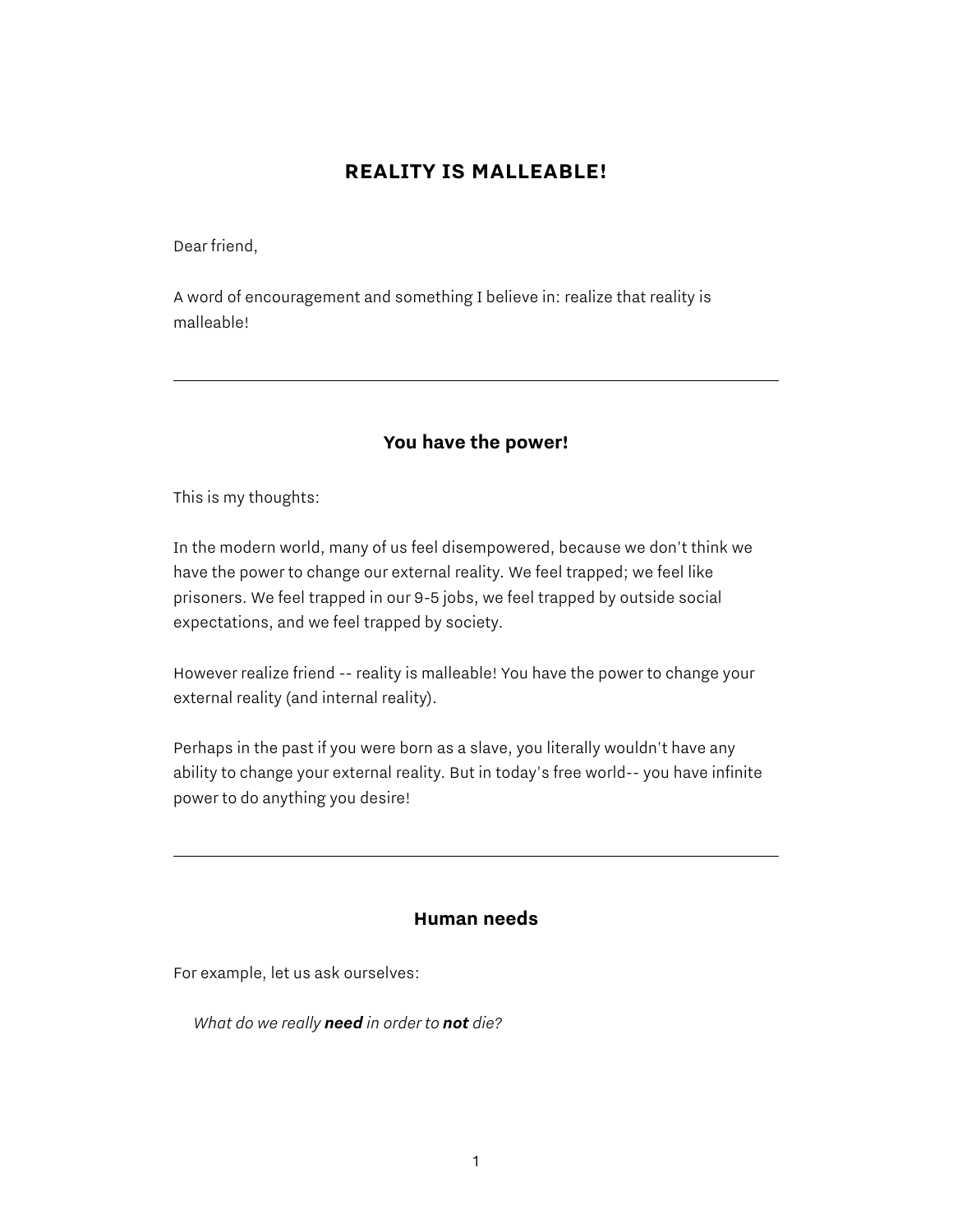## **REALITY IS MALLEABLE!**

Dear friend,

A word of encouragement and something I believe in: realize that reality is malleable!

### **You have the power!**

This is my thoughts:

In the modern world, many of us feel disempowered, because we don't think we have the power to change our external reality. We feel trapped; we feel like prisoners. We feel trapped in our 9-5 jobs, we feel trapped by outside social expectations, and we feel trapped by society.

However realize friend -- reality is malleable! You have the power to change your external reality (and internal reality).

Perhaps in the past if you were born as a slave, you literally wouldn't have any ability to change your external reality. But in today's free world-- you have infinite power to do anything you desire!

#### **Human needs**

For example, let us ask ourselves:

*What do we really need in order to not die?*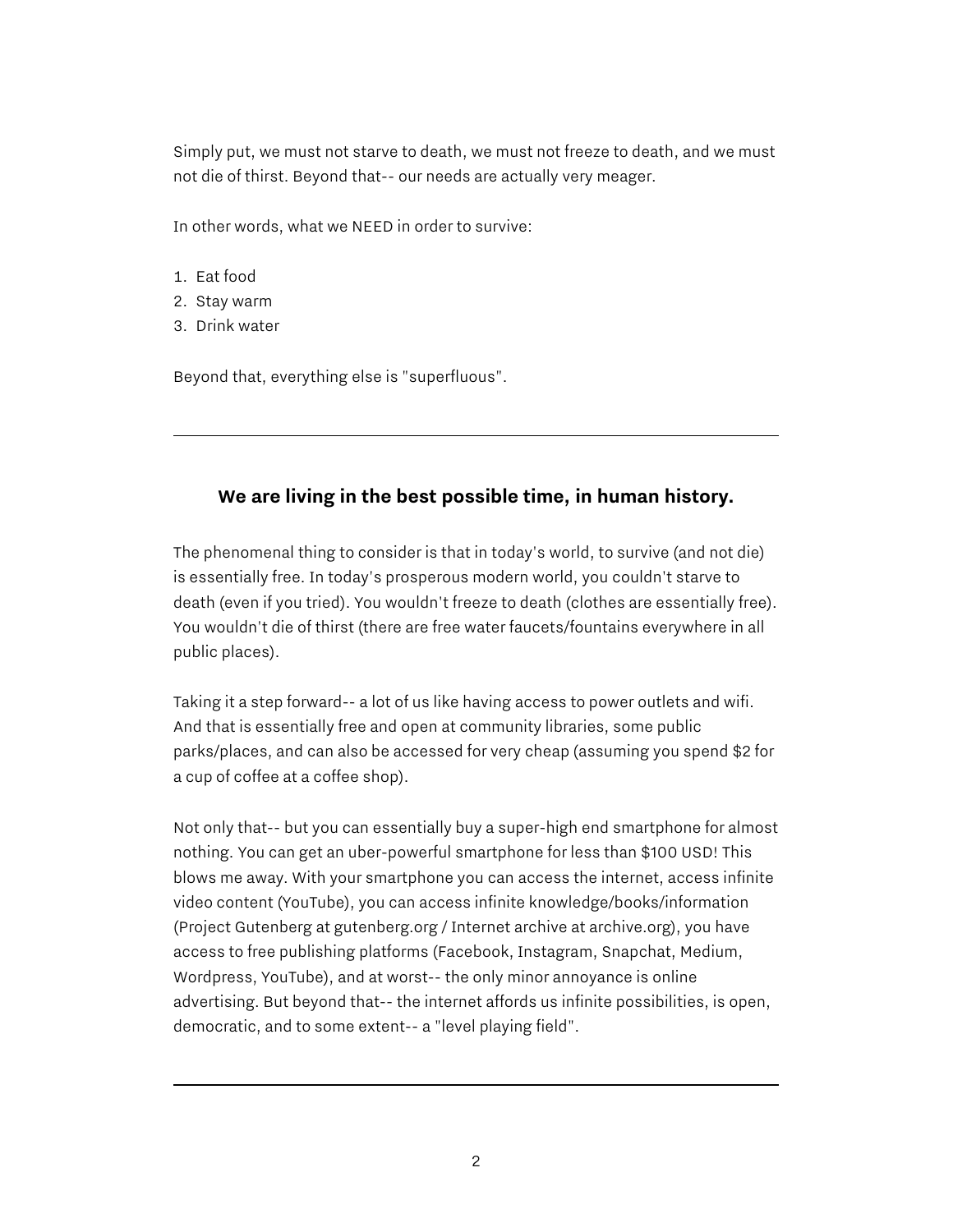Simply put, we must not starve to death, we must not freeze to death, and we must not die of thirst. Beyond that-- our needs are actually very meager.

In other words, what we NEED in order to survive:

- 1. Eat food
- 2. Stay warm
- 3. Drink water

Beyond that, everything else is "superfluous".

### **We are living in the best possible time, in human history.**

The phenomenal thing to consider is that in today's world, to survive (and not die) is essentially free. In today's prosperous modern world, you couldn't starve to death (even if you tried). You wouldn't freeze to death (clothes are essentially free). You wouldn't die of thirst (there are free water faucets/fountains everywhere in all public places).

Taking it a step forward-- a lot of us like having access to power outlets and wifi. And that is essentially free and open at community libraries, some public parks/places, and can also be accessed for very cheap (assuming you spend \$2 for a cup of coffee at a coffee shop).

Not only that-- but you can essentially buy a super-high end smartphone for almost nothing. You can get an uber-powerful smartphone for less than \$100 USD! This blows me away. With your smartphone you can access the internet, access infinite video content (YouTube), you can access infinite knowledge/books/information (Project Gutenberg at gutenberg.org / Internet archive at archive.org), you have access to free publishing platforms (Facebook, Instagram, Snapchat, Medium, Wordpress, YouTube), and at worst-- the only minor annoyance is online advertising. But beyond that-- the internet affords us infinite possibilities, is open, democratic, and to some extent-- a "level playing field".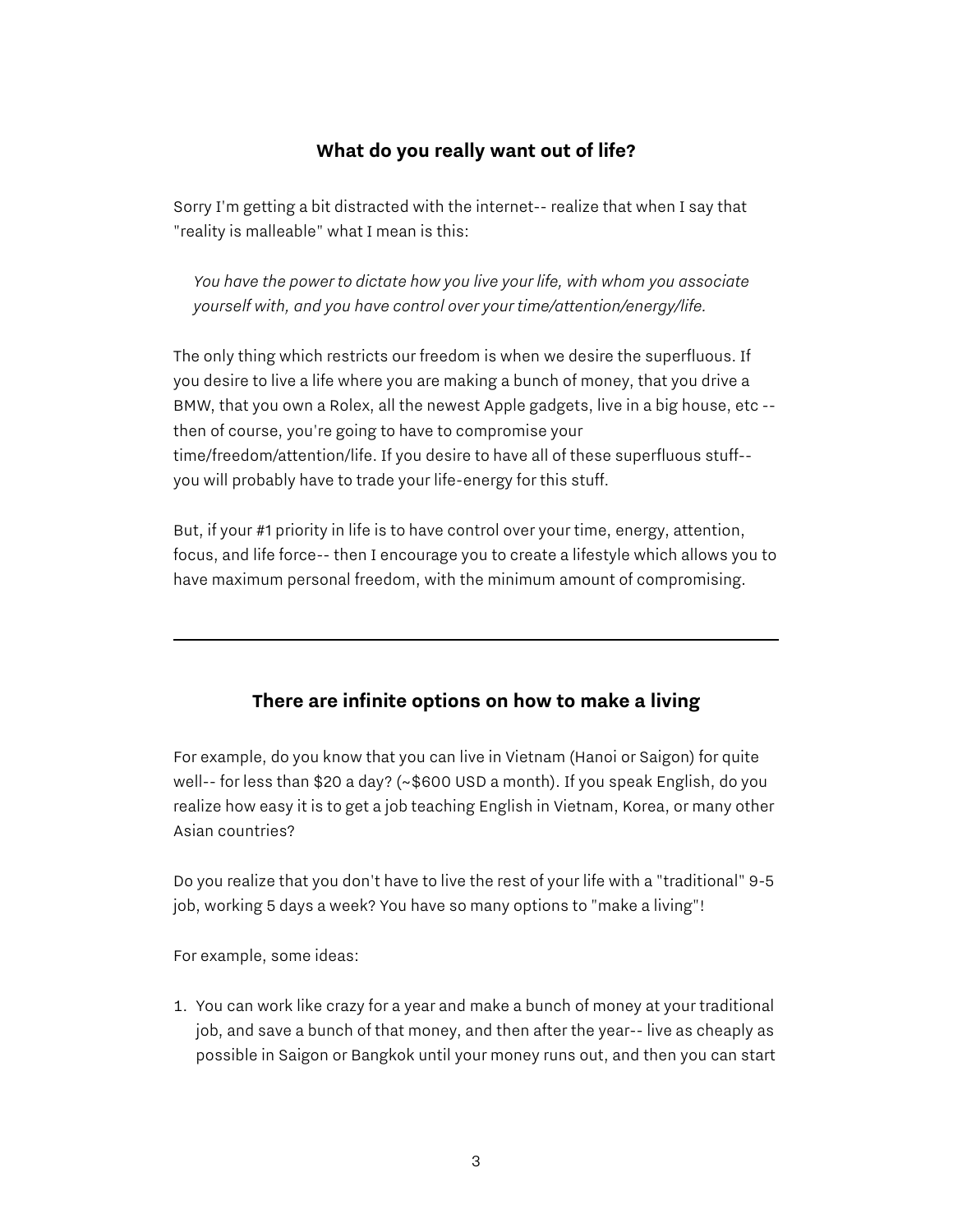## **What do you really want out of life?**

Sorry I'm getting a bit distracted with the internet-- realize that when I say that "reality is malleable" what I mean is this:

*You have the power to dictate how you live your life, with whom you associate yourself with, and you have control over your time/attention/energy/life.*

The only thing which restricts our freedom is when we desire the superfluous. If you desire to live a life where you are making a bunch of money, that you drive a BMW, that you own a Rolex, all the newest Apple gadgets, live in a big house, etc - then of course, you're going to have to compromise your time/freedom/attention/life. If you desire to have all of these superfluous stuff- you will probably have to trade your life-energy for this stuff.

But, if your #1 priority in life is to have control over your time, energy, attention, focus, and life force-- then I encourage you to create a lifestyle which allows you to have maximum personal freedom, with the minimum amount of compromising.

### **There are infinite options on how to make a living**

For example, do you know that you can live in Vietnam (Hanoi or Saigon) for quite well-- for less than \$20 a day? (~\$600 USD a month). If you speak English, do you realize how easy it is to get a job teaching English in Vietnam, Korea, or many other Asian countries?

Do you realize that you don't have to live the rest of your life with a "traditional" 9-5 job, working 5 days a week? You have so many options to "make a living"!

For example, some ideas:

1. You can work like crazy for a year and make a bunch of money at your traditional job, and save a bunch of that money, and then after the year-- live as cheaply as possible in Saigon or Bangkok until your money runs out, and then you can start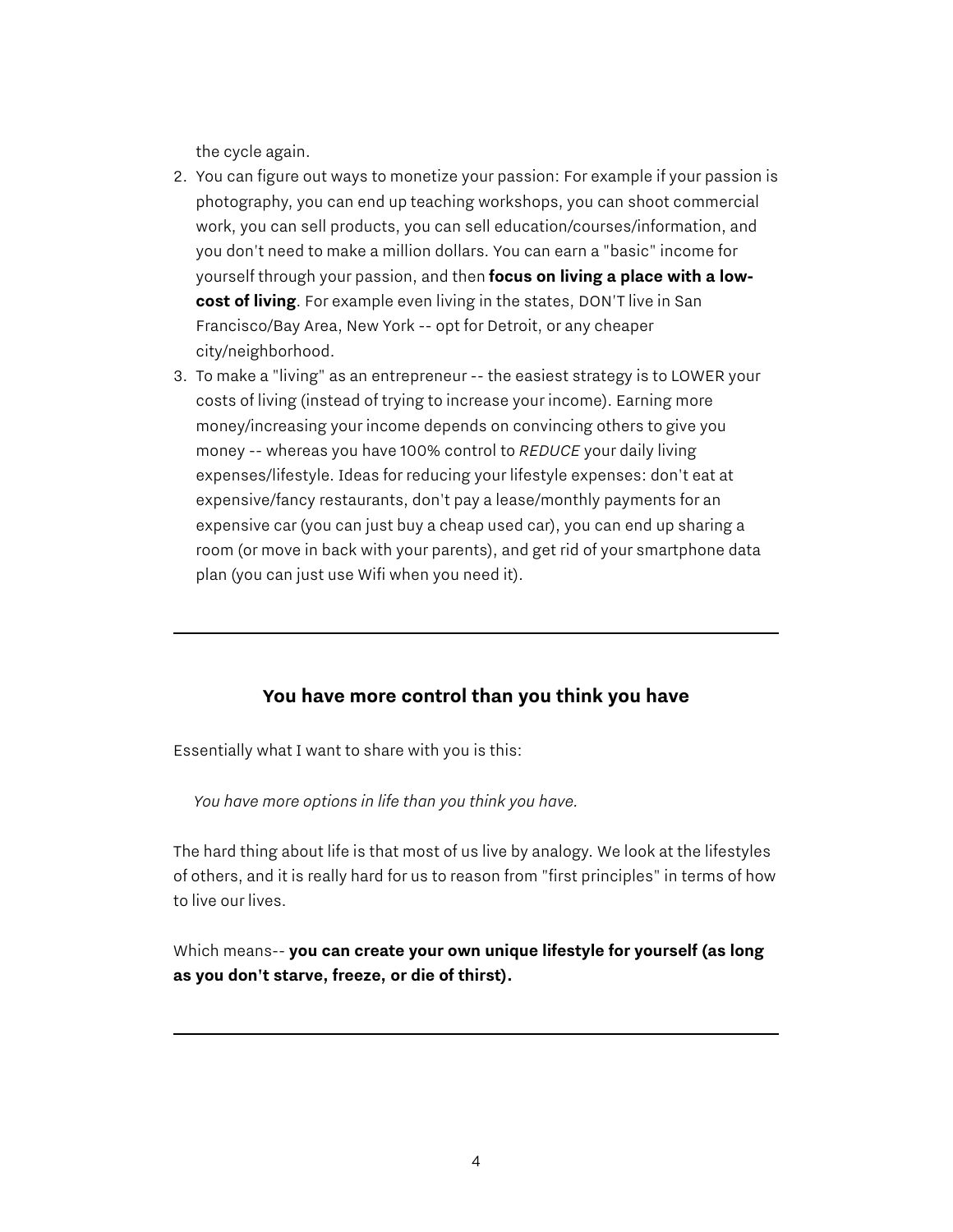the cycle again.

- 2. You can figure out ways to monetize your passion: For example if your passion is photography, you can end up teaching workshops, you can shoot commercial work, you can sell products, you can sell education/courses/information, and you don't need to make a million dollars. You can earn a "basic" income for yourself through your passion, and then **focus on living a place with a lowcost of living**. For example even living in the states, DON'T live in San Francisco/Bay Area, New York -- opt for Detroit, or any cheaper city/neighborhood.
- 3. To make a "living" as an entrepreneur -- the easiest strategy is to LOWER your costs of living (instead of trying to increase your income). Earning more money/increasing your income depends on convincing others to give you money -- whereas you have 100% control to *REDUCE* your daily living expenses/lifestyle. Ideas for reducing your lifestyle expenses: don't eat at expensive/fancy restaurants, don't pay a lease/monthly payments for an expensive car (you can just buy a cheap used car), you can end up sharing a room (or move in back with your parents), and get rid of your smartphone data plan (you can just use Wifi when you need it).

### **You have more control than you think you have**

Essentially what I want to share with you is this:

*You have more options in life than you think you have.*

The hard thing about life is that most of us live by analogy. We look at the lifestyles of others, and it is really hard for us to reason from "first principles" in terms of how to live our lives.

Which means-- **you can create your own unique lifestyle for yourself (as long as you don't starve, freeze, or die of thirst).**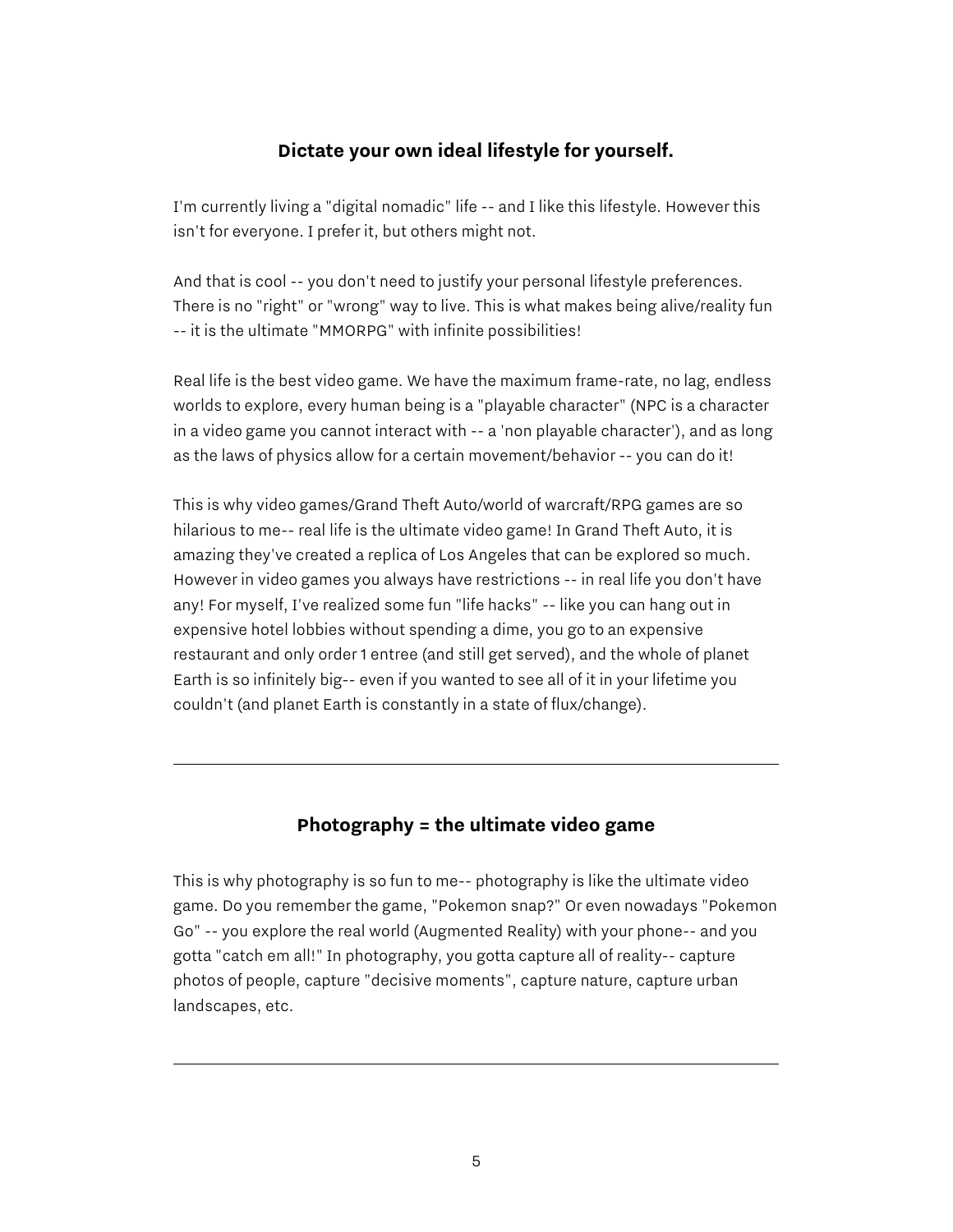#### **Dictate your own ideal lifestyle for yourself.**

I'm currently living a "digital nomadic" life -- and I like this lifestyle. However this isn't for everyone. I prefer it, but others might not.

And that is cool -- you don't need to justify your personal lifestyle preferences. There is no "right" or "wrong" way to live. This is what makes being alive/reality fun -- it is the ultimate "MMORPG" with infinite possibilities!

Real life is the best video game. We have the maximum frame-rate, no lag, endless worlds to explore, every human being is a "playable character" (NPC is a character in a video game you cannot interact with -- a 'non playable character'), and as long as the laws of physics allow for a certain movement/behavior -- you can do it!

This is why video games/Grand Theft Auto/world of warcraft/RPG games are so hilarious to me-- real life is the ultimate video game! In Grand Theft Auto, it is amazing they've created a replica of Los Angeles that can be explored so much. However in video games you always have restrictions -- in real life you don't have any! For myself, I've realized some fun "life hacks" -- like you can hang out in expensive hotel lobbies without spending a dime, you go to an expensive restaurant and only order 1 entree (and still get served), and the whole of planet Earth is so infinitely big-- even if you wanted to see all of it in your lifetime you couldn't (and planet Earth is constantly in a state of flux/change).

#### **Photography = the ultimate video game**

This is why photography is so fun to me-- photography is like the ultimate video game. Do you remember the game, "Pokemon snap?" Or even nowadays "Pokemon Go" -- you explore the real world (Augmented Reality) with your phone-- and you gotta "catch em all!" In photography, you gotta capture all of reality-- capture photos of people, capture "decisive moments", capture nature, capture urban landscapes, etc.